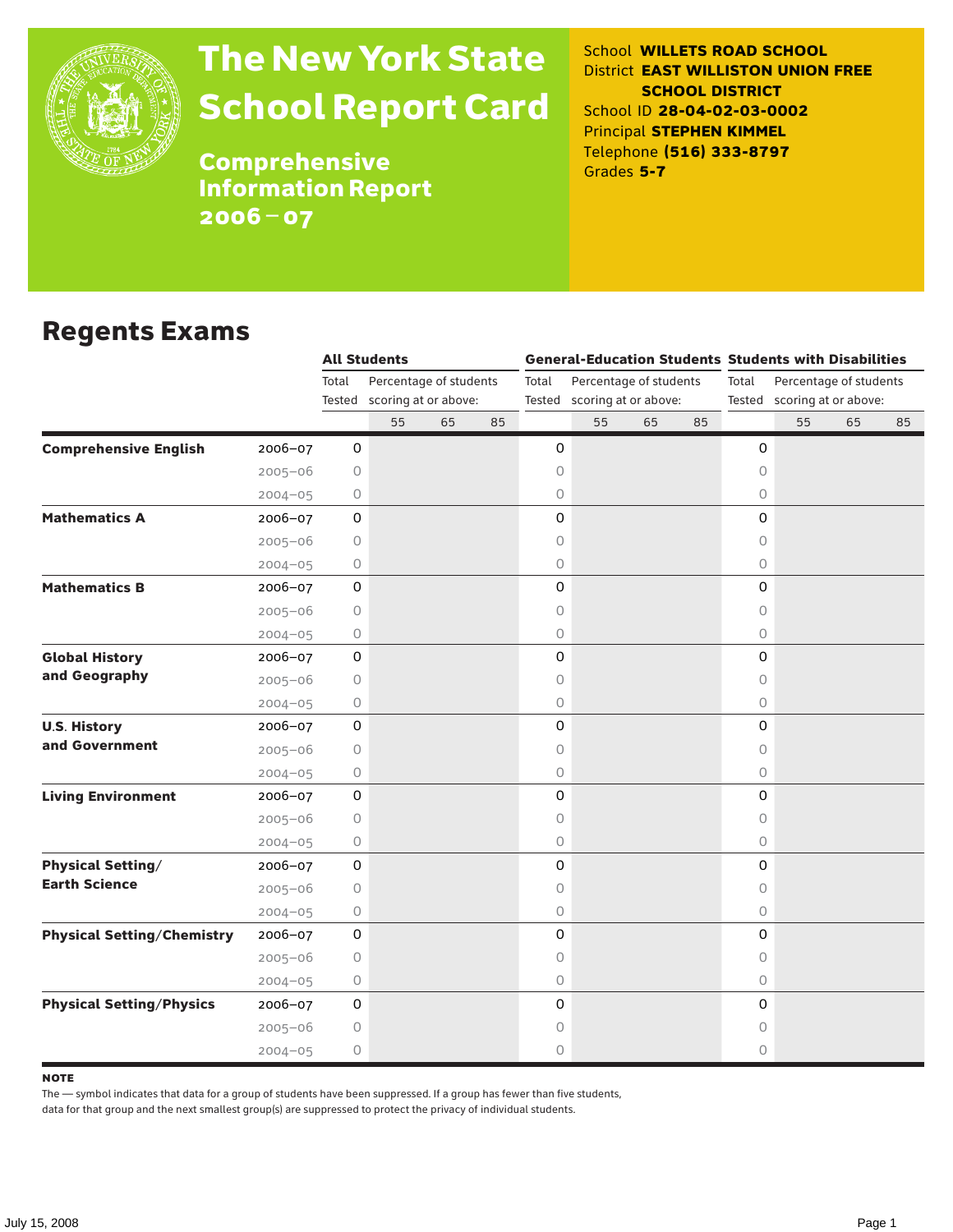

# The New York State School Report Card

School **WILLETS ROAD SCHOOL** District **EAST WILLISTON UNION FREE SCHOOL DISTRICT** School ID **28-04-02-03-0002** Principal **STEPHEN KIMMEL** Telephone **(516) 333-8797** Grades **5-7**

**Comprehensive** Information Report 2006–07

### Regents Exams

|                                                  |             | <b>All Students</b> |                             |    |    |                                 |                             |    | <b>General-Education Students Students with Disabilities</b> |                                 |                             |    |    |  |
|--------------------------------------------------|-------------|---------------------|-----------------------------|----|----|---------------------------------|-----------------------------|----|--------------------------------------------------------------|---------------------------------|-----------------------------|----|----|--|
|                                                  |             | Total               | Percentage of students      |    |    | Percentage of students<br>Total |                             |    |                                                              | Total<br>Percentage of students |                             |    |    |  |
|                                                  |             |                     | Tested scoring at or above: |    |    |                                 | Tested scoring at or above: |    |                                                              |                                 | Tested scoring at or above: |    |    |  |
|                                                  |             |                     | 55                          | 65 | 85 |                                 | 55                          | 65 | 85                                                           |                                 | 55                          | 65 | 85 |  |
| <b>Comprehensive English</b><br>2006-07          |             | 0                   |                             |    |    | 0                               |                             |    |                                                              | 0                               |                             |    |    |  |
| $2005 - 06$                                      |             | 0                   |                             |    |    | 0                               |                             |    |                                                              | $\circ$                         |                             |    |    |  |
| $2004 - 05$                                      |             | 0                   |                             |    |    | 0                               |                             |    |                                                              | 0                               |                             |    |    |  |
| <b>Mathematics A</b><br>2006-07                  |             | 0                   |                             |    |    | 0                               |                             |    |                                                              | 0                               |                             |    |    |  |
| $2005 - 06$                                      |             | 0                   |                             |    |    | 0                               |                             |    |                                                              | 0                               |                             |    |    |  |
| $2004 - 05$                                      |             | 0                   |                             |    |    | 0                               |                             |    |                                                              | 0                               |                             |    |    |  |
| <b>Mathematics B</b><br>2006-07                  |             | 0                   |                             |    |    | 0                               |                             |    |                                                              | 0                               |                             |    |    |  |
| $2005 - 06$                                      |             | $\circ$             |                             |    |    | 0                               |                             |    |                                                              | $\circ$                         |                             |    |    |  |
| $2004 - 05$                                      |             | 0                   |                             |    |    | 0                               |                             |    |                                                              | $\circ$                         |                             |    |    |  |
| <b>Global History</b><br>2006-07                 |             | 0                   |                             |    |    | 0                               |                             |    |                                                              | $\mathsf{O}\xspace$             |                             |    |    |  |
| and Geography<br>$2005 - 06$                     |             | $\circ$             |                             |    |    | 0                               |                             |    |                                                              | 0                               |                             |    |    |  |
| $2004 - 05$                                      |             | 0                   |                             |    |    | 0                               |                             |    |                                                              | $\circ$                         |                             |    |    |  |
| <b>U.S. History</b><br>2006-07                   |             | 0                   |                             |    |    | 0                               |                             |    |                                                              | $\mathsf O$                     |                             |    |    |  |
| and Government<br>$2005 - 06$                    |             | 0                   |                             |    |    | 0                               |                             |    |                                                              | $\circ$                         |                             |    |    |  |
| $2004 - 05$                                      |             | 0                   |                             |    |    | 0                               |                             |    |                                                              | $\circ$                         |                             |    |    |  |
| <b>Living Environment</b><br>2006-07             |             | 0                   |                             |    |    | 0                               |                             |    |                                                              | 0                               |                             |    |    |  |
| $2005 - 06$                                      |             | 0                   |                             |    |    | 0                               |                             |    |                                                              | $\circ$                         |                             |    |    |  |
|                                                  | $2004 - 05$ | 0                   |                             |    |    | 0                               |                             |    |                                                              | $\circ$                         |                             |    |    |  |
| <b>Physical Setting/</b><br>2006-07              |             | $\mathsf{O}\xspace$ |                             |    |    | 0                               |                             |    |                                                              | 0                               |                             |    |    |  |
| <b>Earth Science</b><br>$2005 - 06$              |             | 0                   |                             |    |    | 0                               |                             |    |                                                              | 0                               |                             |    |    |  |
| $2004 - 05$                                      |             | 0                   |                             |    |    | 0                               |                             |    |                                                              | $\circ$                         |                             |    |    |  |
| <b>Physical Setting/Chemistry</b><br>$2006 - 07$ |             | 0                   |                             |    |    | 0                               |                             |    |                                                              | 0                               |                             |    |    |  |
| $2005 - 06$                                      |             | 0                   |                             |    |    | 0                               |                             |    |                                                              | 0                               |                             |    |    |  |
| $2004 - 05$                                      |             | 0                   |                             |    |    | 0                               |                             |    |                                                              | $\circ$                         |                             |    |    |  |
| <b>Physical Setting/Physics</b><br>$2006 - 07$   |             | 0                   |                             |    |    | 0                               |                             |    |                                                              | 0                               |                             |    |    |  |
| $2005 - 06$                                      |             | 0                   |                             |    |    | 0                               |                             |    |                                                              | 0                               |                             |    |    |  |
| $2004 - 05$                                      |             | 0                   |                             |    |    | 0                               |                             |    |                                                              | 0                               |                             |    |    |  |

#### **NOTE**

The — symbol indicates that data for a group of students have been suppressed. If a group has fewer than five students,

data for that group and the next smallest group(s) are suppressed to protect the privacy of individual students.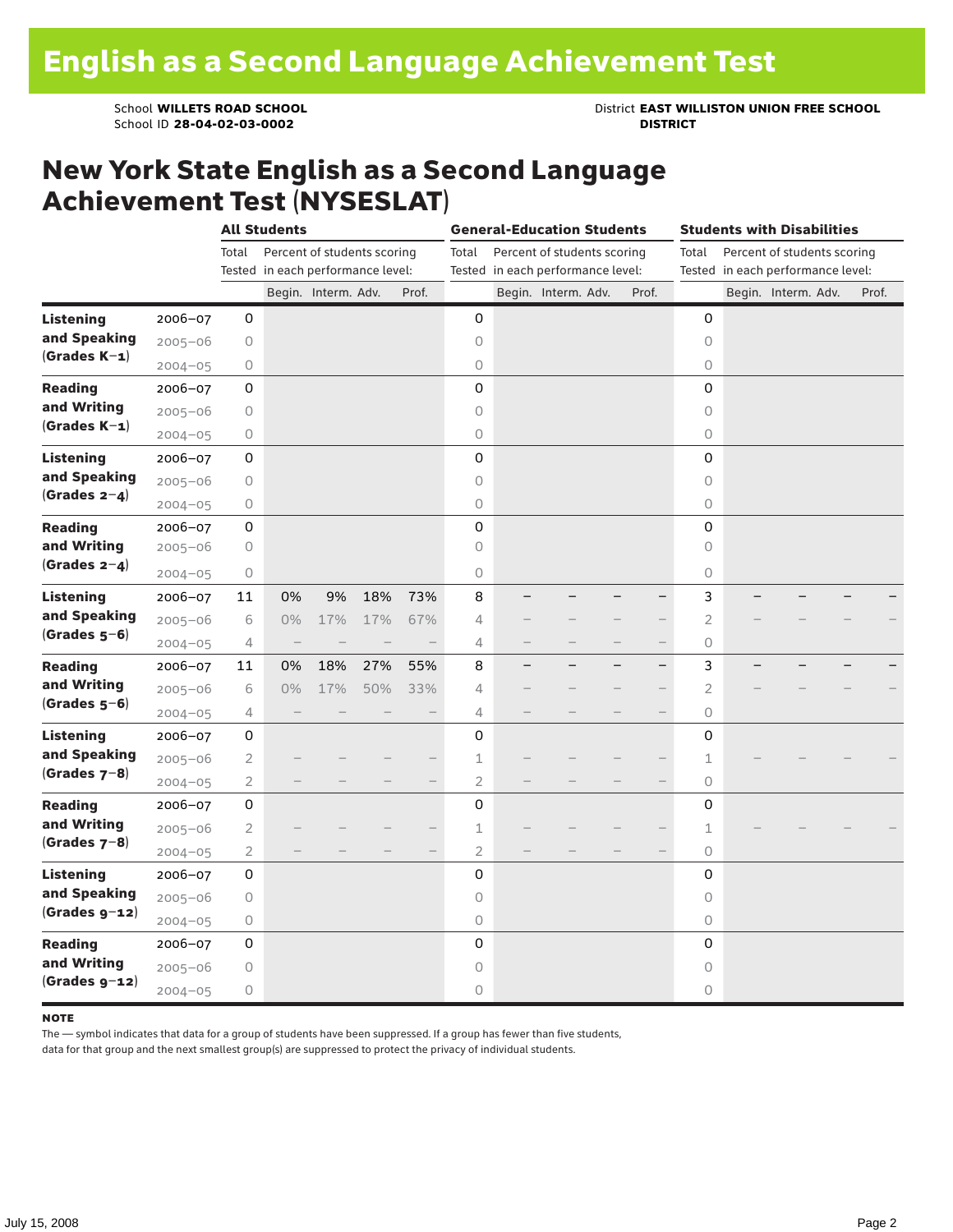School ID 28-04-02-03-0002

School **WILLETS ROAD SCHOOL**<br>School ID 28-04-02-03-0002<br>**DISTRICT** DISTRICT

### New York State English as a Second Language Achievement Test (NYSESLAT)

|                  |             | <b>All Students</b> |                                   |                             |     |                          | <b>General-Education Students</b>                                         |  |                     |  |                          | <b>Students with Disabilities</b>                                         |  |                     |  |       |  |  |
|------------------|-------------|---------------------|-----------------------------------|-----------------------------|-----|--------------------------|---------------------------------------------------------------------------|--|---------------------|--|--------------------------|---------------------------------------------------------------------------|--|---------------------|--|-------|--|--|
|                  |             | Total               | Tested in each performance level: | Percent of students scoring |     |                          | Percent of students scoring<br>Total<br>Tested in each performance level: |  |                     |  |                          | Percent of students scoring<br>Total<br>Tested in each performance level: |  |                     |  |       |  |  |
|                  |             |                     |                                   | Begin. Interm. Adv.         |     | Prof.                    |                                                                           |  | Begin. Interm. Adv. |  | Prof.                    |                                                                           |  | Begin. Interm. Adv. |  | Prof. |  |  |
| <b>Listening</b> | 2006-07     | 0                   |                                   |                             |     |                          | 0                                                                         |  |                     |  |                          | 0                                                                         |  |                     |  |       |  |  |
| and Speaking     | $2005 - 06$ | 0                   |                                   |                             |     |                          | 0                                                                         |  |                     |  |                          | 0                                                                         |  |                     |  |       |  |  |
| $(Grades K-1)$   | $2004 - 05$ | 0                   |                                   |                             |     |                          | $\circ$                                                                   |  |                     |  |                          | 0                                                                         |  |                     |  |       |  |  |
| <b>Reading</b>   | 2006-07     | 0                   |                                   |                             |     |                          | 0                                                                         |  |                     |  |                          | 0                                                                         |  |                     |  |       |  |  |
| and Writing      | $2005 - 06$ | 0                   |                                   |                             |     |                          | 0                                                                         |  |                     |  |                          | 0                                                                         |  |                     |  |       |  |  |
| $(Grades K-1)$   | $2004 - 05$ | 0                   |                                   |                             |     |                          | 0                                                                         |  |                     |  |                          | 0                                                                         |  |                     |  |       |  |  |
| <b>Listening</b> | $2006 - 07$ | 0                   |                                   |                             |     |                          | 0                                                                         |  |                     |  |                          | 0                                                                         |  |                     |  |       |  |  |
| and Speaking     | $2005 - 06$ | 0                   |                                   |                             |     |                          | $\circ$                                                                   |  |                     |  |                          | $\circ$                                                                   |  |                     |  |       |  |  |
| $(Grades 2-4)$   | $2004 - 05$ | $\circ$             |                                   |                             |     |                          | 0                                                                         |  |                     |  |                          | 0                                                                         |  |                     |  |       |  |  |
| <b>Reading</b>   | 2006-07     | $\mathsf 0$         |                                   |                             |     |                          | 0                                                                         |  |                     |  |                          | 0                                                                         |  |                     |  |       |  |  |
| and Writing      | $2005 - 06$ | 0                   |                                   |                             |     |                          | 0                                                                         |  |                     |  |                          | 0                                                                         |  |                     |  |       |  |  |
| (Grades $2-4$ )  | $2004 - 05$ | 0                   |                                   |                             |     |                          | 0                                                                         |  |                     |  |                          | 0                                                                         |  |                     |  |       |  |  |
| Listening        | 2006-07     | 11                  | 0%                                | 9%                          | 18% | 73%                      | 8                                                                         |  |                     |  |                          | 3                                                                         |  |                     |  |       |  |  |
| and Speaking     | $2005 - 06$ | 6                   | 0%                                | 17%                         | 17% | 67%                      | $\overline{4}$                                                            |  |                     |  |                          | $\overline{2}$                                                            |  |                     |  |       |  |  |
| $(Grades 5-6)$   | $2004 - 05$ | 4                   | $\overline{\phantom{a}}$          |                             |     | $\overline{\phantom{0}}$ | 4                                                                         |  |                     |  | $\overline{\phantom{0}}$ | 0                                                                         |  |                     |  |       |  |  |
| <b>Reading</b>   | 2006-07     | 11                  | 0%                                | 18%                         | 27% | 55%                      | 8                                                                         |  |                     |  | -                        | 3                                                                         |  |                     |  |       |  |  |
| and Writing      | $2005 - 06$ | 6                   | 0%                                | 17%                         | 50% | 33%                      | 4                                                                         |  |                     |  |                          | 2                                                                         |  |                     |  |       |  |  |
| $(Grades 5-6)$   | $2004 - 05$ | 4                   |                                   |                             |     |                          | $\overline{4}$                                                            |  |                     |  |                          | 0                                                                         |  |                     |  |       |  |  |
| <b>Listening</b> | 2006-07     | 0                   |                                   |                             |     |                          | 0                                                                         |  |                     |  |                          | 0                                                                         |  |                     |  |       |  |  |
| and Speaking     | $2005 - 06$ | $\overline{2}$      |                                   |                             |     |                          | 1                                                                         |  |                     |  |                          | 1                                                                         |  |                     |  |       |  |  |
| (Grades $7-8$ )  | $2004 - 05$ | $\overline{2}$      |                                   |                             |     |                          | $\overline{2}$                                                            |  |                     |  |                          | 0                                                                         |  |                     |  |       |  |  |
| <b>Reading</b>   | 2006-07     | $\mathsf 0$         |                                   |                             |     |                          | 0                                                                         |  |                     |  |                          | 0                                                                         |  |                     |  |       |  |  |
| and Writing      | $2005 - 06$ | $\overline{c}$      |                                   |                             |     |                          | $\mathbf 1$                                                               |  |                     |  |                          | 1                                                                         |  |                     |  |       |  |  |
| $(Grades 7-8)$   | $2004 - 05$ | $\overline{2}$      |                                   |                             |     |                          | 2                                                                         |  |                     |  |                          | 0                                                                         |  |                     |  |       |  |  |
| <b>Listening</b> | $2006 - 07$ | 0                   |                                   |                             |     |                          | 0                                                                         |  |                     |  |                          | 0                                                                         |  |                     |  |       |  |  |
| and Speaking     | $2005 - 06$ | $\circ$             |                                   |                             |     |                          | 0                                                                         |  |                     |  |                          | $\circ$                                                                   |  |                     |  |       |  |  |
| $(Grades g-12)$  | $2004 - 05$ | $\circ$             |                                   |                             |     |                          | 0                                                                         |  |                     |  |                          | $\circ$                                                                   |  |                     |  |       |  |  |
| <b>Reading</b>   | $2006 - 07$ | 0                   |                                   |                             |     |                          | 0                                                                         |  |                     |  |                          | 0                                                                         |  |                     |  |       |  |  |
| and Writing      | $2005 - 06$ | 0                   |                                   |                             |     |                          | 0                                                                         |  |                     |  |                          | 0                                                                         |  |                     |  |       |  |  |
| $(Grades g-12)$  | $2004 - 05$ | 0                   |                                   |                             |     |                          | $\circ$                                                                   |  |                     |  |                          | 0                                                                         |  |                     |  |       |  |  |

#### **NOTE**

The — symbol indicates that data for a group of students have been suppressed. If a group has fewer than five students,

data for that group and the next smallest group(s) are suppressed to protect the privacy of individual students.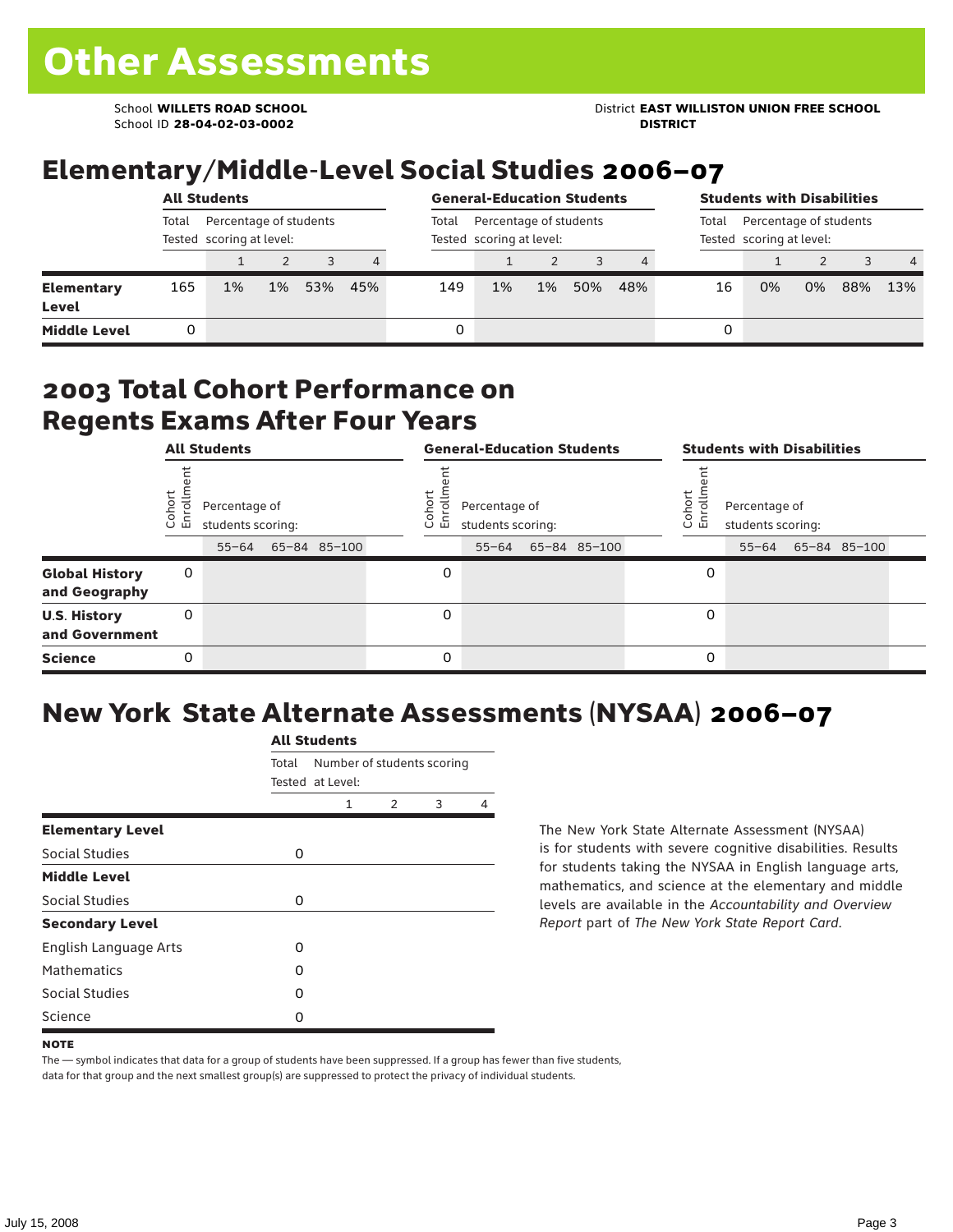School ID **28-04-02-03-0002 DISTRICT**

## Elementary/Middle-Level Social Studies 2006–07

|                            | <b>All Students</b>                                         |    |       |     |                |       | <b>General-Education Students</b>                  |                                                             | <b>Students with Disabilities</b> |     |    |    |    |     |                |
|----------------------------|-------------------------------------------------------------|----|-------|-----|----------------|-------|----------------------------------------------------|-------------------------------------------------------------|-----------------------------------|-----|----|----|----|-----|----------------|
|                            | Total<br>Percentage of students<br>Tested scoring at level: |    |       |     |                | Total | Percentage of students<br>Tested scoring at level: | Percentage of students<br>Total<br>Tested scoring at level: |                                   |     |    |    |    |     |                |
|                            |                                                             |    |       |     | $\overline{4}$ |       |                                                    |                                                             |                                   |     |    |    |    |     | $\overline{4}$ |
| <b>Elementary</b><br>Level | 165                                                         | 1% | $1\%$ | 53% | 45%            | 149   | 1%                                                 | $1\%$                                                       | 50%                               | 48% | 16 | 0% | 0% | 88% | 13%            |
| <b>Middle Level</b>        |                                                             |    |       |     |                | 0     |                                                    |                                                             |                                   |     | 0  |    |    |     |                |

#### 2003 Total Cohort Performance on Regents Exams After Four Years

|                                        | <b>All Students</b> |                                                 |  |              |                      | <b>General-Education Students</b>               |              | <b>Students with Disabilities</b> |                                    |  |                    |  |  |
|----------------------------------------|---------------------|-------------------------------------------------|--|--------------|----------------------|-------------------------------------------------|--------------|-----------------------------------|------------------------------------|--|--------------------|--|--|
|                                        | Cohort<br>Enrollm   | Percentage of<br>students scoring:<br>$55 - 64$ |  | 65-84 85-100 | Coho<br>$\circ$<br>ᇛ | Percentage of<br>students scoring:<br>$55 - 64$ | 65-84 85-100 | Cohor<br>ò,<br>문                  | Percentage of<br>students scoring: |  | 55-64 65-84 85-100 |  |  |
| <b>Global History</b><br>and Geography | 0                   |                                                 |  |              | 0                    |                                                 |              | 0                                 |                                    |  |                    |  |  |
| <b>U.S. History</b><br>and Government  | 0                   |                                                 |  |              | $\Omega$             |                                                 |              | 0                                 |                                    |  |                    |  |  |
| <b>Science</b>                         | 0                   |                                                 |  |              | $\Omega$             |                                                 |              | 0                                 |                                    |  |                    |  |  |

## New York State Alternate Assessments (NYSAA) 2006–07

|                         | <b>All Students</b> |                  |                            |   |   |  |  |  |  |  |
|-------------------------|---------------------|------------------|----------------------------|---|---|--|--|--|--|--|
|                         | Total               | Tested at Level: | Number of students scoring |   |   |  |  |  |  |  |
|                         |                     | 1                | $\mathcal{P}$              | 3 | 4 |  |  |  |  |  |
| <b>Elementary Level</b> |                     |                  |                            |   |   |  |  |  |  |  |
| Social Studies          | 0                   |                  |                            |   |   |  |  |  |  |  |
| <b>Middle Level</b>     |                     |                  |                            |   |   |  |  |  |  |  |
| Social Studies          | 0                   |                  |                            |   |   |  |  |  |  |  |
| <b>Secondary Level</b>  |                     |                  |                            |   |   |  |  |  |  |  |
| English Language Arts   | O                   |                  |                            |   |   |  |  |  |  |  |
| <b>Mathematics</b>      | O                   |                  |                            |   |   |  |  |  |  |  |
| Social Studies          | O                   |                  |                            |   |   |  |  |  |  |  |
| Science                 | 0                   |                  |                            |   |   |  |  |  |  |  |

The New York State Alternate Assessment (NYSAA) is for students with severe cognitive disabilities. Results for students taking the NYSAA in English language arts, mathematics, and science at the elementary and middle levels are available in the *Accountability and Overview Report* part of *The New York State Report Card*.

The — symbol indicates that data for a group of students have been suppressed. If a group has fewer than five students, data for that group and the next smallest group(s) are suppressed to protect the privacy of individual students.

**NOTE**